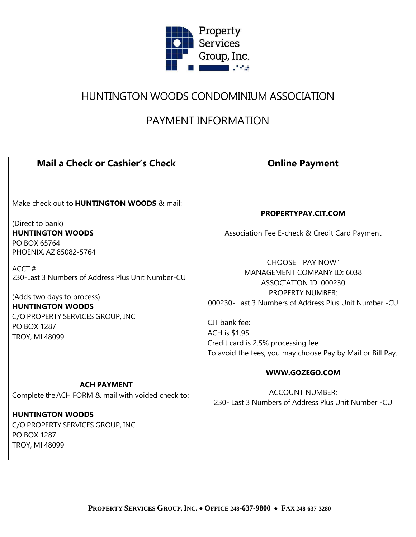

# HUNTINGTON WOODS CONDOMINIUM ASSOCIATION

# PAYMENT INFORMATION

| <b>Mail a Check or Cashier's Check</b>                                                                                                                                                                 | <b>Online Payment</b>                                                                                                                                                                                                                                                                                       |  |
|--------------------------------------------------------------------------------------------------------------------------------------------------------------------------------------------------------|-------------------------------------------------------------------------------------------------------------------------------------------------------------------------------------------------------------------------------------------------------------------------------------------------------------|--|
| Make check out to <b>HUNTINGTON WOODS</b> & mail:<br>(Direct to bank)<br><b>HUNTINGTON WOODS</b><br>PO BOX 65764<br>PHOENIX, AZ 85082-5764                                                             | PROPERTYPAY.CIT.COM<br>Association Fee E-check & Credit Card Payment                                                                                                                                                                                                                                        |  |
| ACCT#<br>230-Last 3 Numbers of Address Plus Unit Number-CU<br>(Adds two days to process)<br><b>HUNTINGTON WOODS</b><br>C/O PROPERTY SERVICES GROUP, INC<br><b>PO BOX 1287</b><br><b>TROY, MI 48099</b> | <b>CHOOSE "PAY NOW"</b><br>MANAGEMENT COMPANY ID: 6038<br>ASSOCIATION ID: 000230<br><b>PROPERTY NUMBER:</b><br>000230- Last 3 Numbers of Address Plus Unit Number -CU<br>CIT bank fee:<br>ACH is \$1.95<br>Credit card is 2.5% processing fee<br>To avoid the fees, you may choose Pay by Mail or Bill Pay. |  |
| <b>ACH PAYMENT</b><br>Complete the ACH FORM & mail with voided check to:<br><b>HUNTINGTON WOODS</b><br>C/O PROPERTY SERVICES GROUP, INC<br><b>PO BOX 1287</b><br><b>TROY, MI 48099</b>                 | WWW.GOZEGO.COM<br><b>ACCOUNT NUMBER:</b><br>230- Last 3 Numbers of Address Plus Unit Number -CU                                                                                                                                                                                                             |  |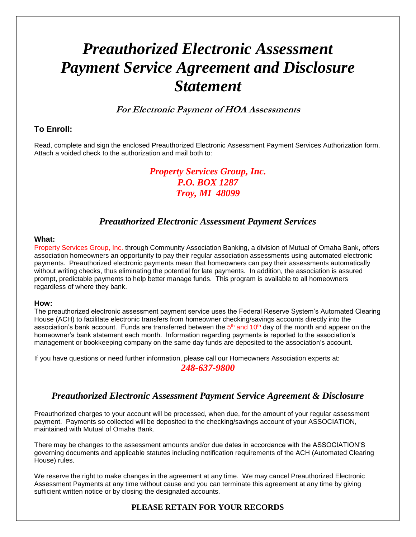# *Preauthorized Electronic Assessment Payment Service Agreement and Disclosure Statement*

# **For Electronic Payment of HOA Assessments**

### **To Enroll:**

Read, complete and sign the enclosed Preauthorized Electronic Assessment Payment Services Authorization form. Attach a voided check to the authorization and mail both to:

> *Property Services Group, Inc. P.O. BOX 1287 Troy, MI 48099*

# *Preauthorized Electronic Assessment Payment Services*

#### **What:**

Property Services Group, Inc. through Community Association Banking, a division of Mutual of Omaha Bank, offers association homeowners an opportunity to pay their regular association assessments using automated electronic payments. Preauthorized electronic payments mean that homeowners can pay their assessments automatically without writing checks, thus eliminating the potential for late payments. In addition, the association is assured prompt, predictable payments to help better manage funds. This program is available to all homeowners regardless of where they bank.

#### **How:**

The preauthorized electronic assessment payment service uses the Federal Reserve System's Automated Clearing House (ACH) to facilitate electronic transfers from homeowner checking/savings accounts directly into the association's bank account. Funds are transferred between the  $5<sup>th</sup>$  and  $10<sup>th</sup>$  day of the month and appear on the homeowner's bank statement each month. Information regarding payments is reported to the association's management or bookkeeping company on the same day funds are deposited to the association's account.

If you have questions or need further information, please call our Homeowners Association experts at:

#### *248-637-9800*

# *Preauthorized Electronic Assessment Payment Service Agreement & Disclosure*

Preauthorized charges to your account will be processed, when due, for the amount of your regular assessment payment. Payments so collected will be deposited to the checking/savings account of your ASSOCIATION, maintained with Mutual of Omaha Bank.

There may be changes to the assessment amounts and/or due dates in accordance with the ASSOCIATION'S governing documents and applicable statutes including notification requirements of the ACH (Automated Clearing House) rules.

We reserve the right to make changes in the agreement at any time. We may cancel Preauthorized Electronic Assessment Payments at any time without cause and you can terminate this agreement at any time by giving sufficient written notice or by closing the designated accounts.

#### **PLEASE RETAIN FOR YOUR RECORDS**